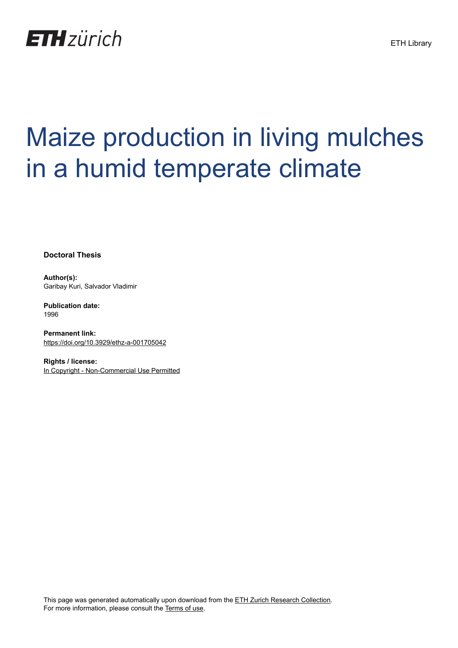

## Maize production in living mulches in a humid temperate climate

**Doctoral Thesis**

**Author(s):** Garibay Kuri, Salvador Vladimir

**Publication date:** 1996

**Permanent link:** <https://doi.org/10.3929/ethz-a-001705042>

**Rights / license:** [In Copyright - Non-Commercial Use Permitted](http://rightsstatements.org/page/InC-NC/1.0/)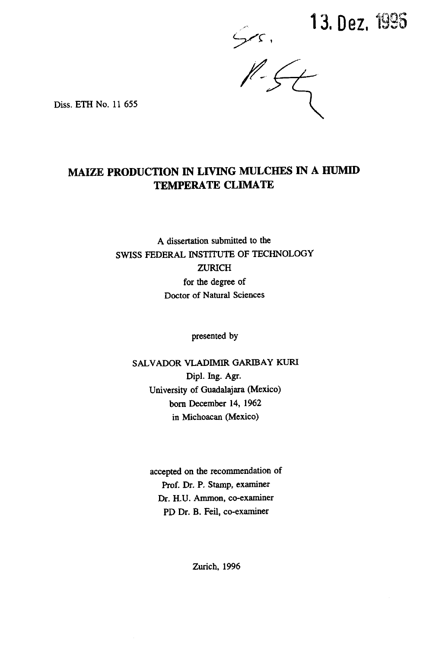$5.13.$  Dez. 1995

Diss. ETH No. 11 655

## MAIZE PRODUCTION IN LIVING MULCHES IN A HUMID TEMPERATE CLIMATE

A dissertation submitted to the SWISS FEDERAL INSTITUTE OF TECHNOLOGY ZURICH for the degree of Doctor of Natural Sciences

presented by

SALVADOR VLADIMIR GARIBAY KURI Dipl. Ing. Agr. University of Guadalajara (Mexico) born December 14, 1962 in Michoacan (Mexico)

> accepted on the recommendation of Prof. Dr. P. Stamp, examiner Dr. H.U. Ammon, co-examiner PD Dr. B. Feil, co-examiner

> > Zurich, 1996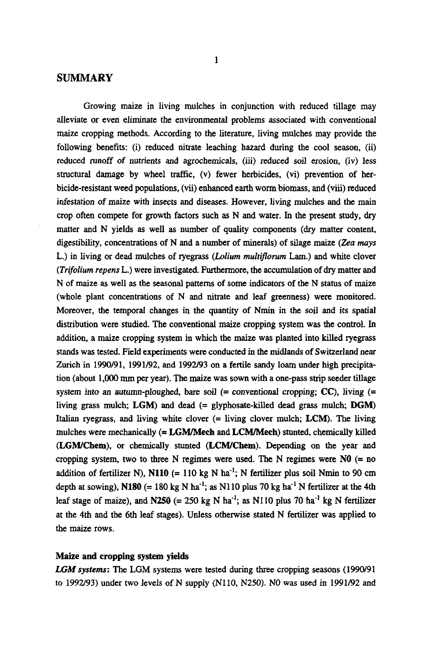## SUMMARY

Growing maize in living mulches in conjunction with reduced tillage may alleviate or even eliminate the environmental problems associated with conventional maize cropping methods. According to the literature, living mulches may provide the following benefits: (i) reduced nitrate leaching hazard during the cool season, (ii) reduced runoff of nutrients and agrochemicals, (iii) reduced soil erosion, (iv) less structural damage by wheel traffic, (v) fewer herbicides, (vi) prevention of herbicide-resistant weed populations, (vii) enhanced earth worm biomass, and (viii) reduced infestation of maize with insects and diseases. However, living mulches and the main crop often compete for growth factors such as N and water. In the present study, dry matter and N yields as well as number of quality components (dry matter content, digestibility, concentrations of N and a number of minerals) of silage maize (Zea mays L.) in living or dead mulches of ryegrass (Lolium multiflorum Lam.) and white clover (Trifolium repens L.) were investigated. Furthermore, the accumulation of dry matter and N of maize as well as the seasonal patterns of some indicators of the N status of maize (whole plant concentrations of N and nitrate and leaf greenness) were monitored. Moreover, the temporal changes in the quantity of Nmin in the soil and its spatial distribution were studied. The conventional maize cropping system was the control. In addition, a maize cropping system in which the maize was planted into killed ryegrass stands was tested. Field experiments were conducted in the midlands of Switzerland near Zurich in 1990/91, 1991/92, and 1992/93 on a fertile sandy loam under high precipitation (about 1,000 mm per year). The maize was sown with <sup>a</sup> one-pass strip seeder tillage system into an autumn-ploughed, bare soil  $(=$  conventional cropping;  $CC$ ), living  $(=$ living grass mulch; LGM) and dead  $(=$  glyphosate-killed dead grass mulch; DGM) Italian ryegrass, and living white clover (= living clover mulch; LCM). The living mulches were mechanically (= LGM/Mech and LCM/Mech) stunted, chemically killed (LGM/Chem), or chemically stunted (LCM/Chem). Depending on the year and cropping system, two to three N regimes were used. The N regimes were  $N0$  (= no addition of fertilizer N), N110 (= 110 kg N ha<sup>-1</sup>; N fertilizer plus soil Nmin to 90 cm depth at sowing), N180 (= 180 kg N ha<sup>-1</sup>; as N110 plus 70 kg ha<sup>-1</sup> N fertilizer at the 4th leaf stage of maize), and N250 (= 250 kg N ha<sup>-1</sup>; as N110 plus 70 ha<sup>-1</sup> kg N fertilizer at the 4th and the 6th leaf stages). Unless otherwise stated N fertilizer was applied to the maize rows.

## Maize and cropping system yields

LGM systems: The LGM systems were tested during three cropping seasons (1990/91) to 1992/93) under two levels of N supply (NllO, N250). NO was used in 1991/92 and